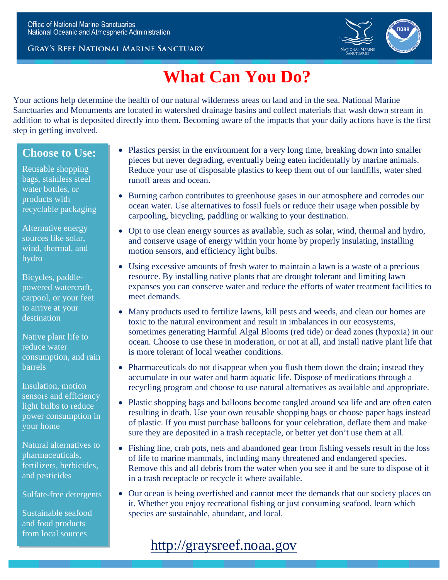#### **GRAY'S REEF NATIONAL MARINE SANCTUARY**



# **What Can You Do?**

Your actions help determine the health of our natural wilderness areas on land and in the sea. National Marine Sanctuaries and Monuments are located in watershed drainage basins and collect materials that wash down stream in addition to what is deposited directly into them. Becoming aware of the impacts that your daily actions have is the first step in getting involved.

### **Choose to Use:**

Reusable shopping bags, stainless steel water bottles, or products with recyclable packaging

Alternative energy sources like solar, wind, thermal, and hydro

Bicycles, paddlepowered watercraft, carpool, or your feet to arrive at your destination

Native plant life to reduce water consumption, and rain **barrels** 

Insulation, motion sensors and efficiency light bulbs to reduce power consumption in your home

Natural alternatives to pharmaceuticals, fertilizers, herbicides, and pesticides

Sulfate-free detergents

Sustainable seafood and food products from local sources

- Plastics persist in the environment for a very long time, breaking down into smaller pieces but never degrading, eventually being eaten incidentally by marine animals. Reduce your use of disposable plastics to keep them out of our landfills, water shed runoff areas and ocean.
- Burning carbon contributes to greenhouse gases in our atmosphere and corrodes our ocean water. Use alternatives to fossil fuels or reduce their usage when possible by carpooling, bicycling, paddling or walking to your destination.
- Opt to use clean energy sources as available, such as solar, wind, thermal and hydro, and conserve usage of energy within your home by properly insulating, installing motion sensors, and efficiency light bulbs.
- Using excessive amounts of fresh water to maintain a lawn is a waste of a precious resource. By installing native plants that are drought tolerant and limiting lawn expanses you can conserve water and reduce the efforts of water treatment facilities to meet demands.
- Many products used to fertilize lawns, kill pests and weeds, and clean our homes are toxic to the natural environment and result in imbalances in our ecosystems, sometimes generating Harmful Algal Blooms (red tide) or dead zones (hypoxia) in our ocean. Choose to use these in moderation, or not at all, and install native plant life that is more tolerant of local weather conditions.
- Pharmaceuticals do not disappear when you flush them down the drain; instead they accumulate in our water and harm aquatic life. Dispose of medications through a recycling program and choose to use natural alternatives as available and appropriate.
- Plastic shopping bags and balloons become tangled around sea life and are often eaten resulting in death. Use your own reusable shopping bags or choose paper bags instead of plastic. If you must purchase balloons for your celebration, deflate them and make sure they are deposited in a trash receptacle, or better yet don't use them at all.
- Fishing line, crab pots, nets and abandoned gear from fishing vessels result in the loss of life to marine mammals, including many threatened and endangered species. Remove this and all debris from the water when you see it and be sure to dispose of it in a trash receptacle or recycle it where available.
- Our ocean is being overfished and cannot meet the demands that our society places on it. Whether you enjoy recreational fishing or just consuming seafood, learn which species are sustainable, abundant, and local.

# [http://graysreef.noaa.gov](http://graysreef.noaa.gov/)